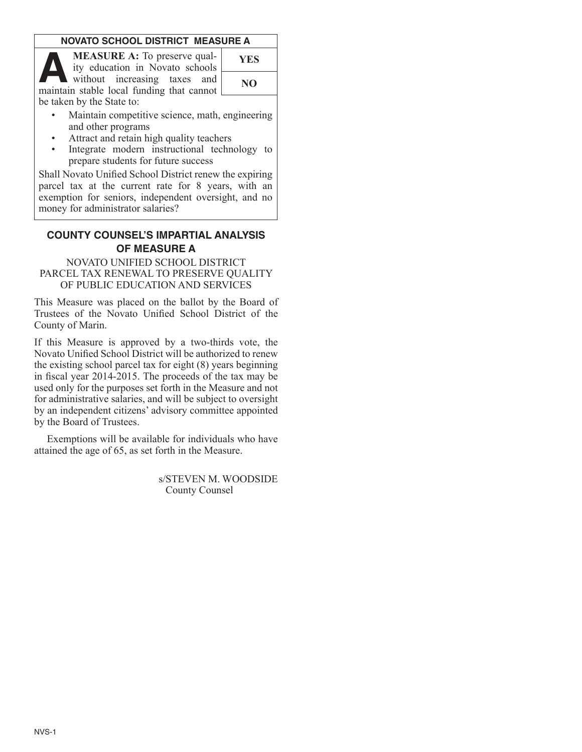### **NOVATO SCHOOL DISTRICT MEASURE A**

**MEASURE A:** To preserve quality education in Novato schools without increasing taxes and **A YES** maintain stable local funding that cannot be taken by the State to:

| <b>YES</b> |  |
|------------|--|
| NO         |  |
|            |  |

- Maintain competitive science, math, engineering and other programs
- Attract and retain high quality teachers
- Integrate modern instructional technology to prepare students for future success

Shall Novato Unified School District renew the expiring parcel tax at the current rate for 8 years, with an exemption for seniors, independent oversight, and no money for administrator salaries?

# **COUNTY COUNSEL'S IMPARTIAL ANALYSIS of MEASURE A**

#### NOVATO UNIFIED SCHOOL DISTRICT PARCEL TAX RENEWAL TO PRESERVE QUALITY OF PUBLIC EDUCATION AND SERVICES

This Measure was placed on the ballot by the Board of Trustees of the Novato Unified School District of the County of Marin.

If this Measure is approved by a two-thirds vote, the Novato Unified School District will be authorized to renew the existing school parcel tax for eight (8) years beginning in fiscal year 2014-2015. The proceeds of the tax may be used only for the purposes set forth in the Measure and not for administrative salaries, and will be subject to oversight by an independent citizens' advisory committee appointed by the Board of Trustees.

Exemptions will be available for individuals who have attained the age of 65, as set forth in the Measure.

> s/STEVEN M. WOODSIDE County Counsel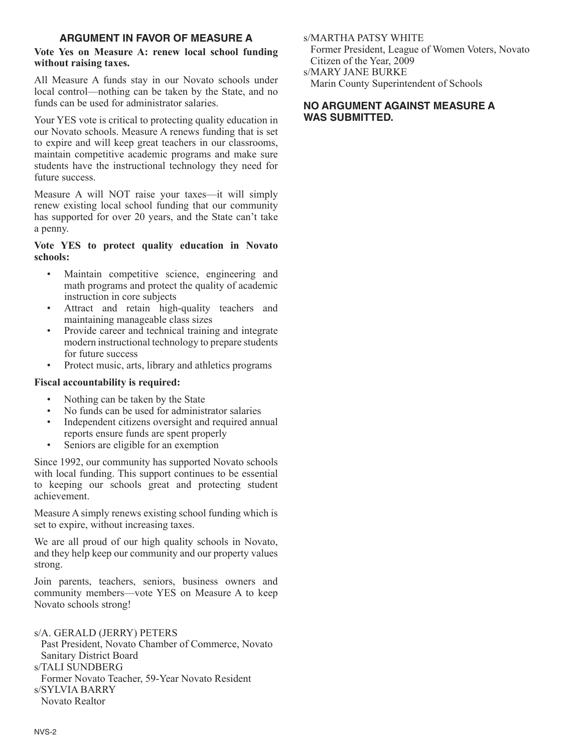### **argument in favor of measure A**

### **Vote Yes on Measure A: renew local school funding without raising taxes.**

All Measure A funds stay in our Novato schools under local control—nothing can be taken by the State, and no funds can be used for administrator salaries.

Your YES vote is critical to protecting quality education in our Novato schools. Measure A renews funding that is set to expire and will keep great teachers in our classrooms, maintain competitive academic programs and make sure students have the instructional technology they need for future success.

Measure A will NOT raise your taxes—it will simply renew existing local school funding that our community has supported for over 20 years, and the State can't take a penny.

# **Vote YES to protect quality education in Novato schools:**

- Maintain competitive science, engineering and math programs and protect the quality of academic instruction in core subjects
- Attract and retain high-quality teachers and maintaining manageable class sizes
- Provide career and technical training and integrate modern instructional technology to prepare students for future success
- Protect music, arts, library and athletics programs

# **Fiscal accountability is required:**

- Nothing can be taken by the State
- No funds can be used for administrator salaries
- Independent citizens oversight and required annual reports ensure funds are spent properly
- Seniors are eligible for an exemption

Since 1992, our community has supported Novato schools with local funding. This support continues to be essential to keeping our schools great and protecting student achievement.

Measure A simply renews existing school funding which is set to expire, without increasing taxes.

We are all proud of our high quality schools in Novato, and they help keep our community and our property values strong.

Join parents, teachers, seniors, business owners and community members—vote YES on Measure A to keep Novato schools strong!

# s/A. Gerald (Jerry) Peters

Past President, Novato Chamber of Commerce, Novato Sanitary District Board s/TALI SUNDBERG Former Novato Teacher, 59-Year Novato Resident s/Sylvia Barry Novato Realtor

s/MARTHA PATSY WHITE Former President, League of Women Voters, Novato Citizen of the Year, 2009 s/Mary Jane Burke

Marin County Superintendent of Schools

### **no Argument against measure A was submitted.**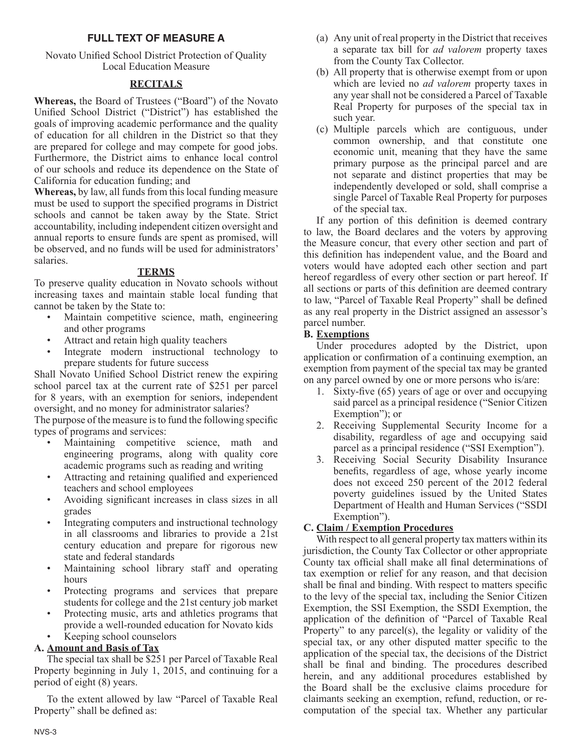# **FULL TEXT OF MEASURE A**

Novato Unified School District Protection of Quality Local Education Measure

### **RECITALS**

**Whereas,** the Board of Trustees ("Board") of the Novato Unified School District ("District") has established the goals of improving academic performance and the quality of education for all children in the District so that they are prepared for college and may compete for good jobs. Furthermore, the District aims to enhance local control of our schools and reduce its dependence on the State of California for education funding; and

**Whereas,** by law, all funds from this local funding measure must be used to support the specified programs in District schools and cannot be taken away by the State. Strict accountability, including independent citizen oversight and annual reports to ensure funds are spent as promised, will be observed, and no funds will be used for administrators' salaries.

### **TERMS**

To preserve quality education in Novato schools without increasing taxes and maintain stable local funding that cannot be taken by the State to:

- Maintain competitive science, math, engineering and other programs
- Attract and retain high quality teachers
- Integrate modern instructional technology to prepare students for future success

Shall Novato Unified School District renew the expiring school parcel tax at the current rate of \$251 per parcel for 8 years, with an exemption for seniors, independent oversight, and no money for administrator salaries?

The purpose of the measure is to fund the following specific types of programs and services:

- Maintaining competitive science, math and engineering programs, along with quality core academic programs such as reading and writing
- Attracting and retaining qualified and experienced teachers and school employees
- Avoiding significant increases in class sizes in all grades
- Integrating computers and instructional technology in all classrooms and libraries to provide a 21st century education and prepare for rigorous new state and federal standards
- Maintaining school library staff and operating hours
- Protecting programs and services that prepare students for college and the 21st century job market
- Protecting music, arts and athletics programs that provide a well-rounded education for Novato kids
- Keeping school counselors

# **A. Amount and Basis of Tax**

The special tax shall be \$251 per Parcel of Taxable Real Property beginning in July 1, 2015, and continuing for a period of eight (8) years.

To the extent allowed by law "Parcel of Taxable Real Property" shall be defined as:

- (a) Any unit of real property in the District that receives a separate tax bill for *ad valorem* property taxes from the County Tax Collector.
- (b) All property that is otherwise exempt from or upon which are levied no *ad valorem* property taxes in any year shall not be considered a Parcel of Taxable Real Property for purposes of the special tax in such year.
- (c) Multiple parcels which are contiguous, under common ownership, and that constitute one economic unit, meaning that they have the same primary purpose as the principal parcel and are not separate and distinct properties that may be independently developed or sold, shall comprise a single Parcel of Taxable Real Property for purposes of the special tax.

If any portion of this definition is deemed contrary to law, the Board declares and the voters by approving the Measure concur, that every other section and part of this definition has independent value, and the Board and voters would have adopted each other section and part hereof regardless of every other section or part hereof. If all sections or parts of this definition are deemed contrary to law, "Parcel of Taxable Real Property" shall be defined as any real property in the District assigned an assessor's parcel number.

## **B. Exemptions**

Under procedures adopted by the District, upon application or confirmation of a continuing exemption, an exemption from payment of the special tax may be granted on any parcel owned by one or more persons who is/are:

- 1. Sixty-five (65) years of age or over and occupying said parcel as a principal residence ("Senior Citizen Exemption"); or
- 2. Receiving Supplemental Security Income for a disability, regardless of age and occupying said parcel as a principal residence ("SSI Exemption").
- 3. Receiving Social Security Disability Insurance benefits, regardless of age, whose yearly income does not exceed 250 percent of the 2012 federal poverty guidelines issued by the United States Department of Health and Human Services ("SSDI Exemption").

# **C. Claim / Exemption Procedures**

With respect to all general property tax matters within its jurisdiction, the County Tax Collector or other appropriate County tax official shall make all final determinations of tax exemption or relief for any reason, and that decision shall be final and binding. With respect to matters specific to the levy of the special tax, including the Senior Citizen Exemption, the SSI Exemption, the SSDI Exemption, the application of the definition of "Parcel of Taxable Real Property" to any parcel(s), the legality or validity of the special tax, or any other disputed matter specific to the application of the special tax, the decisions of the District shall be final and binding. The procedures described herein, and any additional procedures established by the Board shall be the exclusive claims procedure for claimants seeking an exemption, refund, reduction, or recomputation of the special tax. Whether any particular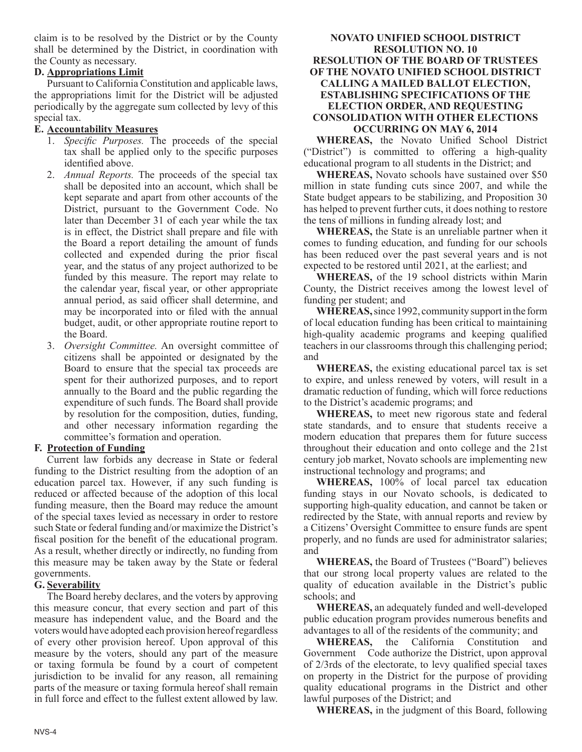claim is to be resolved by the District or by the County shall be determined by the District, in coordination with the County as necessary.

### **D. Appropriations Limit**

Pursuant to California Constitution and applicable laws, the appropriations limit for the District will be adjusted periodically by the aggregate sum collected by levy of this special tax.

### **E. Accountability Measures**

- 1. *Specific Purposes.* The proceeds of the special tax shall be applied only to the specific purposes identified above.
- 2. *Annual Reports.* The proceeds of the special tax shall be deposited into an account, which shall be kept separate and apart from other accounts of the District, pursuant to the Government Code. No later than December 31 of each year while the tax is in effect, the District shall prepare and file with the Board a report detailing the amount of funds collected and expended during the prior fiscal year, and the status of any project authorized to be funded by this measure. The report may relate to the calendar year, fiscal year, or other appropriate annual period, as said officer shall determine, and may be incorporated into or filed with the annual budget, audit, or other appropriate routine report to the Board.
- 3. *Oversight Committee.* An oversight committee of citizens shall be appointed or designated by the Board to ensure that the special tax proceeds are spent for their authorized purposes, and to report annually to the Board and the public regarding the expenditure of such funds. The Board shall provide by resolution for the composition, duties, funding, and other necessary information regarding the committee's formation and operation.

## **F. Protection of Funding**

Current law forbids any decrease in State or federal funding to the District resulting from the adoption of an education parcel tax. However, if any such funding is reduced or affected because of the adoption of this local funding measure, then the Board may reduce the amount of the special taxes levied as necessary in order to restore such State or federal funding and/or maximize the District's fiscal position for the benefit of the educational program. As a result, whether directly or indirectly, no funding from this measure may be taken away by the State or federal governments.

# **G. Severability**

The Board hereby declares, and the voters by approving this measure concur, that every section and part of this measure has independent value, and the Board and the voters would have adopted each provision hereof regardless of every other provision hereof. Upon approval of this measure by the voters, should any part of the measure or taxing formula be found by a court of competent jurisdiction to be invalid for any reason, all remaining parts of the measure or taxing formula hereof shall remain in full force and effect to the fullest extent allowed by law.

#### **NOVATO UNIFIED SCHOOL DISTRICT RESOLUTION NO. 10 RESOLUTION OF THE BOARD OF TRUSTEES OF THE NOVATO UNIFIED SCHOOL DISTRICT CALLING A MAILED BALLOT ELECTION, ESTABLISHING SPECIFICATIONS OF THE ELECTION ORDER, AND REQUESTING CONSOLIDATION WITH OTHER ELECTIONS OCCURRING ON MAY 6, 2014**

**WHEREAS,** the Novato Unified School District ("District") is committed to offering a high-quality educational program to all students in the District; and

**WHEREAS,** Novato schools have sustained over \$50 million in state funding cuts since 2007, and while the State budget appears to be stabilizing, and Proposition 30 has helped to prevent further cuts, it does nothing to restore the tens of millions in funding already lost; and

**WHEREAS,** the State is an unreliable partner when it comes to funding education, and funding for our schools has been reduced over the past several years and is not expected to be restored until 2021, at the earliest; and

**WHEREAS,** of the 19 school districts within Marin County, the District receives among the lowest level of funding per student; and

**WHEREAS,** since 1992, community support in the form of local education funding has been critical to maintaining high-quality academic programs and keeping qualified teachers in our classrooms through this challenging period; and

**WHEREAS,** the existing educational parcel tax is set to expire, and unless renewed by voters, will result in a dramatic reduction of funding, which will force reductions to the District's academic programs; and

**WHEREAS,** to meet new rigorous state and federal state standards, and to ensure that students receive a modern education that prepares them for future success throughout their education and onto college and the 21st century job market, Novato schools are implementing new instructional technology and programs; and

**WHEREAS,** 100% of local parcel tax education funding stays in our Novato schools, is dedicated to supporting high-quality education, and cannot be taken or redirected by the State, with annual reports and review by a Citizens' Oversight Committee to ensure funds are spent properly, and no funds are used for administrator salaries; and

**WHEREAS,** the Board of Trustees ("Board") believes that our strong local property values are related to the quality of education available in the District's public schools; and

**WHEREAS,** an adequately funded and well-developed public education program provides numerous benefits and advantages to all of the residents of the community; and

**WHEREAS,** the California Constitution and Government Code authorize the District, upon approval of 2/3rds of the electorate, to levy qualified special taxes on property in the District for the purpose of providing quality educational programs in the District and other lawful purposes of the District; and

**WHEREAS,** in the judgment of this Board, following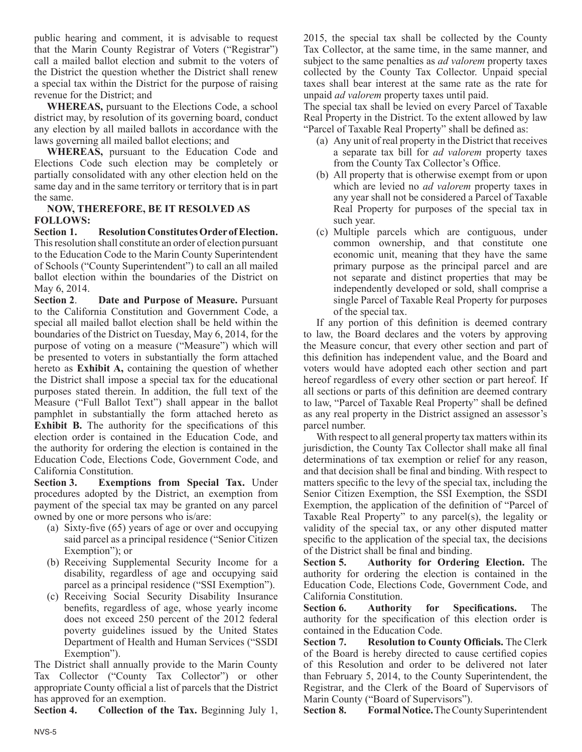public hearing and comment, it is advisable to request that the Marin County Registrar of Voters ("Registrar") call a mailed ballot election and submit to the voters of the District the question whether the District shall renew a special tax within the District for the purpose of raising revenue for the District; and

**WHEREAS,** pursuant to the Elections Code, a school district may, by resolution of its governing board, conduct any election by all mailed ballots in accordance with the laws governing all mailed ballot elections; and

**WHEREAS,** pursuant to the Education Code and Elections Code such election may be completely or partially consolidated with any other election held on the same day and in the same territory or territory that is in part the same.

#### **NOW, THEREFORE, BE IT RESOLVED AS FOLLOWS:**

**Section 1. Resolution Constitutes Order of Election.**  This resolution shall constitute an order of election pursuant to the Education Code to the Marin County Superintendent of Schools ("County Superintendent") to call an all mailed ballot election within the boundaries of the District on May 6, 2014.

**Section 2**. **Date and Purpose of Measure.** Pursuant to the California Constitution and Government Code, a special all mailed ballot election shall be held within the boundaries of the District on Tuesday, May 6, 2014, for the purpose of voting on a measure ("Measure") which will be presented to voters in substantially the form attached hereto as **Exhibit A,** containing the question of whether the District shall impose a special tax for the educational purposes stated therein. In addition, the full text of the Measure ("Full Ballot Text") shall appear in the ballot pamphlet in substantially the form attached hereto as **Exhibit B.** The authority for the specifications of this election order is contained in the Education Code, and the authority for ordering the election is contained in the Education Code, Elections Code, Government Code, and California Constitution.

**Section 3. Exemptions from Special Tax.** Under procedures adopted by the District, an exemption from payment of the special tax may be granted on any parcel owned by one or more persons who is/are:

- (a) Sixty-five (65) years of age or over and occupying said parcel as a principal residence ("Senior Citizen Exemption"); or
- (b) Receiving Supplemental Security Income for a disability, regardless of age and occupying said parcel as a principal residence ("SSI Exemption").
- (c) Receiving Social Security Disability Insurance benefits, regardless of age, whose yearly income does not exceed 250 percent of the 2012 federal poverty guidelines issued by the United States Department of Health and Human Services ("SSDI Exemption").

The District shall annually provide to the Marin County Tax Collector ("County Tax Collector") or other appropriate County official a list of parcels that the District has approved for an exemption.

**Section 4. Collection of the Tax.** Beginning July 1,

2015, the special tax shall be collected by the County Tax Collector, at the same time, in the same manner, and subject to the same penalties as *ad valorem* property taxes collected by the County Tax Collector. Unpaid special taxes shall bear interest at the same rate as the rate for unpaid *ad valorem* property taxes until paid.

The special tax shall be levied on every Parcel of Taxable Real Property in the District. To the extent allowed by law "Parcel of Taxable Real Property" shall be defined as:

- (a) Any unit of real property in the District that receives a separate tax bill for *ad valorem* property taxes from the County Tax Collector's Office.
- (b) All property that is otherwise exempt from or upon which are levied no *ad valorem* property taxes in any year shall not be considered a Parcel of Taxable Real Property for purposes of the special tax in such year.
- (c) Multiple parcels which are contiguous, under common ownership, and that constitute one economic unit, meaning that they have the same primary purpose as the principal parcel and are not separate and distinct properties that may be independently developed or sold, shall comprise a single Parcel of Taxable Real Property for purposes of the special tax.

If any portion of this definition is deemed contrary to law, the Board declares and the voters by approving the Measure concur, that every other section and part of this definition has independent value, and the Board and voters would have adopted each other section and part hereof regardless of every other section or part hereof. If all sections or parts of this definition are deemed contrary to law, "Parcel of Taxable Real Property" shall be defined as any real property in the District assigned an assessor's parcel number.

With respect to all general property tax matters within its jurisdiction, the County Tax Collector shall make all final determinations of tax exemption or relief for any reason, and that decision shall be final and binding. With respect to matters specific to the levy of the special tax, including the Senior Citizen Exemption, the SSI Exemption, the SSDI Exemption, the application of the definition of "Parcel of Taxable Real Property" to any parcel(s), the legality or validity of the special tax, or any other disputed matter specific to the application of the special tax, the decisions of the District shall be final and binding.

**Section 5. Authority for Ordering Election.** The authority for ordering the election is contained in the Education Code, Elections Code, Government Code, and California Constitution.

**Section 6. Authority for Specifications.** The authority for the specification of this election order is contained in the Education Code.

**Section 7. Resolution to County Officials.** The Clerk of the Board is hereby directed to cause certified copies of this Resolution and order to be delivered not later than February 5, 2014, to the County Superintendent, the Registrar, and the Clerk of the Board of Supervisors of Marin County ("Board of Supervisors").

**Section 8. Formal Notice.** The County Superintendent